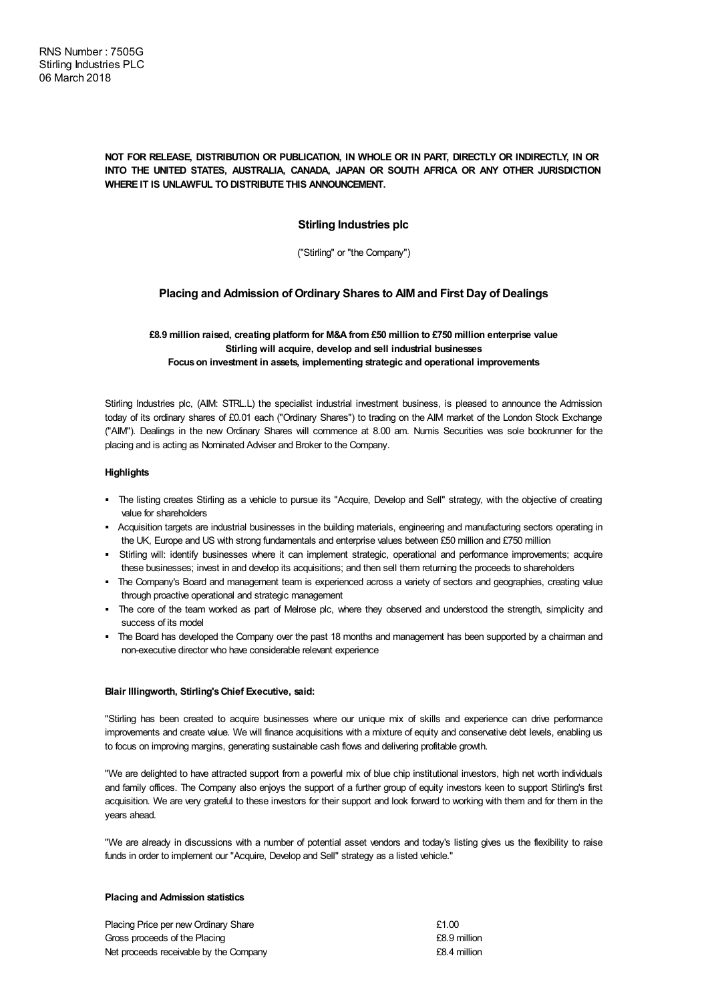## **NOT FOR RELEASE, DISTRIBUTION OR PUBLICATION, IN WHOLE OR IN PART, DIRECTLY OR INDIRECTLY, IN OR INTO THE UNITED STATES, AUSTRALIA, CANADA, JAPAN OR SOUTH AFRICA OR ANY OTHER JURISDICTION WHERE IT IS UNLAWFUL TO DISTRIBUTE THIS ANNOUNCEMENT.**

# **Stirling Industries plc**

("Stirling" or "the Company")

# **Placing and Admission of Ordinary Shares to AIM and First Day of Dealings**

## **£8.9 million raised, creating platform for M&A from £50 million to £750 million enterprise value Stirling will acquire, develop and sell industrial businesses Focuson investment in assets, implementing strategic and operational improvements**

Stirling Industries plc, (AIM: STRL.L) the specialist industrial investment business, is pleased to announce the Admission today of its ordinary shares of £0.01 each ("Ordinary Shares") to trading on the AIM market of the London Stock Exchange ("AIM"). Dealings in the new Ordinary Shares will commence at 8.00 am. Numis Securities was sole bookrunner for the placing and is acting as Nominated Adviser and Broker to the Company.

## **Highlights**

- § The listing creates Stirling as a vehicle to pursue its "Acquire, Develop and Sell" strategy, with the objective of creating value for shareholders
- § Acquisition targets are industrial businesses in the building materials, engineering and manufacturing sectors operating in the UK, Europe and US with strong fundamentals and enterprise values between £50 million and £750 million
- § Stirling will: identify businesses where it can implement strategic, operational and performance improvements; acquire these businesses; invest in and develop its acquisitions; and then sell them returning the proceeds to shareholders
- § The Company's Board and management team is experienced across a variety of sectors and geographies, creating value through proactive operational and strategic management
- § The core of the team worked as part of Melrose plc, where they observed and understood the strength, simplicity and success of its model
- The Board has developed the Company over the past 18 months and management has been supported by a chairman and non-executive director who have considerable relevant experience

### **Blair Illingworth, Stirling'sChief Executive, said:**

"Stirling has been created to acquire businesses where our unique mix of skills and experience can drive performance improvements and create value. We will finance acquisitions with a mixture of equity and conservative debt levels, enabling us to focus on improving margins, generating sustainable cash flows and delivering profitable growth.

"We are delighted to have attracted support from a powerful mix of blue chip institutional investors, high net worth individuals and family offices. The Company also enjoys the support of a further group of equity investors keen to support Stirling's first acquisition. We are very grateful to these investors for their support and look forward to working with them and for them in the years ahead.

"We are already in discussions with a number of potential asset vendors and today's listing gives us the flexibility to raise funds in order to implement our "Acquire, Develop and Sell" strategy as a listed vehicle."

#### **Placing and Admission statistics**

| Placing Price per new Ordinary Share   | £1.00        |
|----------------------------------------|--------------|
| Gross proceeds of the Placing          | £8.9 million |
| Net proceeds receivable by the Company | £8.4 million |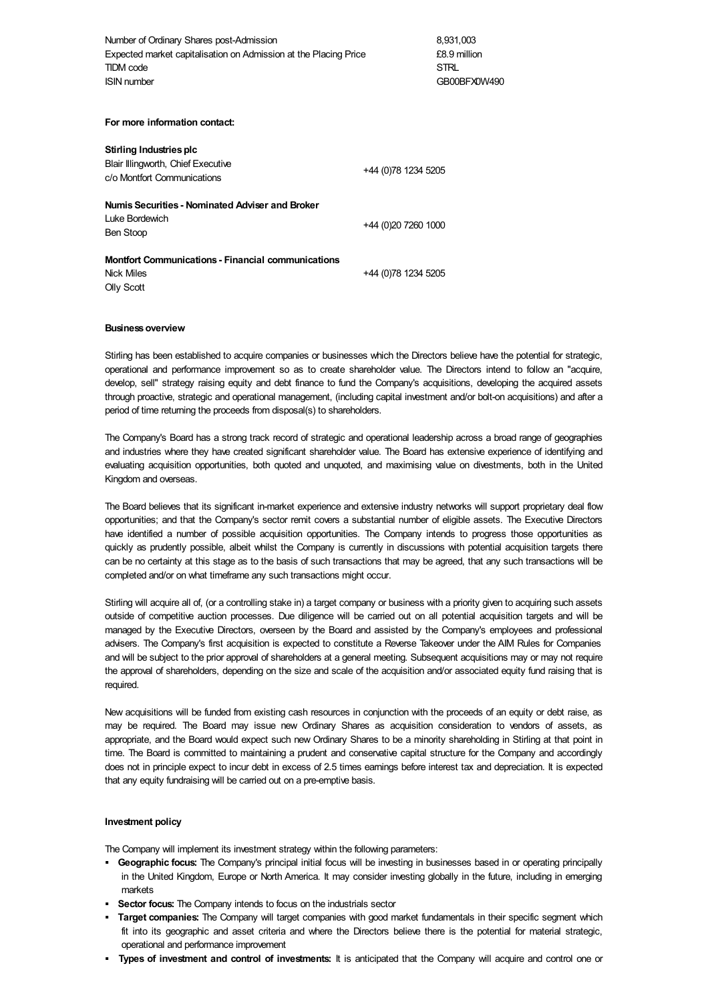Number of Ordinary Shares post-Admission 8,931,003 Expected market capitalisation on Admission at the Placing Price £8.9 million TIDM code STRL ISIN number GB00BFX0W490

**For more information contact:**

| Stirling Industries plc<br>Blair Illingworth, Chief Executive<br>c/o Montfort Communications | +44 (0)78 1234 5205 |
|----------------------------------------------------------------------------------------------|---------------------|
| Numis Securities - Nominated Adviser and Broker<br><b>Luke Bordewich</b><br>Ben Stoop        | +44 (0)20 7260 1000 |
| <b>Montfort Communications - Financial communications</b><br><b>Nick Miles</b><br>Olly Scott | +44 (0)78 1234 5205 |

#### **Businessoverview**

Stirling has been established to acquire companies or businesses which the Directors believe have the potential for strategic, operational and performance improvement so as to create shareholder value. The Directors intend to follow an "acquire, develop, sell" strategy raising equity and debt finance to fund the Company's acquisitions, developing the acquired assets through proactive, strategic and operational management, (including capital investment and/or bolt-on acquisitions) and after a period of time returning the proceeds from disposal(s) to shareholders.

The Company's Board has a strong track record of strategic and operational leadership across a broad range of geographies and industries where they have created significant shareholder value. The Board has extensive experience of identifying and evaluating acquisition opportunities, both quoted and unquoted, and maximising value on divestments, both in the United Kingdom and overseas.

The Board believes that its significant in-market experience and extensive industry networks will support proprietary deal flow opportunities; and that the Company's sector remit covers a substantial number of eligible assets. The Executive Directors have identified a number of possible acquisition opportunities. The Company intends to progress those opportunities as quickly as prudently possible, albeit whilst the Company is currently in discussions with potential acquisition targets there can be no certainty at this stage as to the basis of such transactions that may be agreed, that any such transactions will be completed and/or on what timeframe any such transactions might occur.

Stirling will acquire all of, (or a controlling stake in) a target company or business with a priority given to acquiring such assets outside of competitive auction processes. Due diligence will be carried out on all potential acquisition targets and will be managed by the Executive Directors, overseen by the Board and assisted by the Company's employees and professional advisers. The Company's first acquisition is expected to constitute a Reverse Takeover under the AIM Rules for Companies and will be subject to the prior approval of shareholders at a general meeting. Subsequent acquisitions may or may not require the approval of shareholders, depending on the size and scale of the acquisition and/or associated equity fund raising that is required.

New acquisitions will be funded from existing cash resources in conjunction with the proceeds of an equity or debt raise, as may be required. The Board may issue new Ordinary Shares as acquisition consideration to vendors of assets, as appropriate, and the Board would expect such new Ordinary Shares to be a minority shareholding in Stirling at that point in time. The Board is committed to maintaining a prudent and conservative capital structure for the Company and accordingly does not in principle expect to incur debt in excess of 2.5 times earnings before interest tax and depreciation. It is expected that any equity fundraising will be carried out on a pre-emptive basis.

#### **Investment policy**

The Company will implement its investment strategy within the following parameters:

- § **Geographic focus:** The Company's principal initial focus will be investing in businesses based in or operating principally in the United Kingdom, Europe or North America. It may consider investing globally in the future, including in emerging markets
- § **Sector focus:** The Company intends to focus on the industrials sector
- § **Target companies:** The Company will target companies with good market fundamentals in their specific segment which fit into its geographic and asset criteria and where the Directors believe there is the potential for material strategic, operational and performance improvement
- § **Types of investment and control of investments:** It is anticipated that the Company will acquire and control one or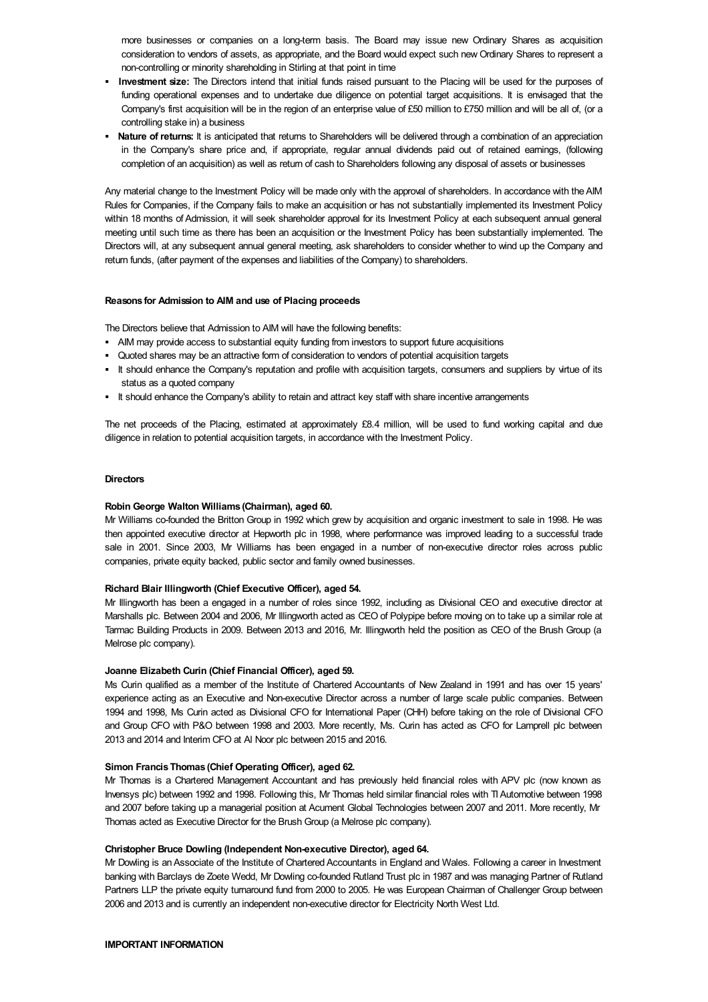more businesses or companies on a long-term basis. The Board may issue new Ordinary Shares as acquisition consideration to vendors of assets, as appropriate, and the Board would expect such new Ordinary Shares to represent a non-controlling or minority shareholding in Stirling at that point in time

- § **Investment size:** The Directors intend that initial funds raised pursuant to the Placing will be used for the purposes of funding operational expenses and to undertake due diligence on potential target acquisitions. It is envisaged that the Company's first acquisition will be in the region of an enterprise value of £50 million to £750 million and will be all of, (or a controlling stake in) a business
- § **Nature of returns:** It is anticipated that returns to Shareholders will be delivered through a combination of an appreciation in the Company's share price and, if appropriate, regular annual dividends paid out of retained earnings, (following completion of an acquisition) as well as return of cash to Shareholders following any disposal of assets or businesses

Any material change to the Investment Policy will be made only with the approval of shareholders. In accordance with theAIM Rules for Companies, if the Company fails to make an acquisition or has not substantially implemented its Investment Policy within 18 months of Admission, it will seek shareholder approval for its Investment Policy at each subsequent annual general meeting until such time as there has been an acquisition or the Investment Policy has been substantially implemented. The Directors will, at any subsequent annual general meeting, ask shareholders to consider whether to wind up the Company and return funds, (after payment of the expenses and liabilities of the Company) to shareholders.

#### **Reasons for Admission to AIM and use of Placing proceeds**

The Directors believe that Admission to AIM will have the following benefits:

- § AIM may provide access to substantial equity funding from investors to support future acquisitions
- § Quoted shares may be an attractive form of consideration to vendors of potential acquisition targets
- § It should enhance the Company's reputation and profile with acquisition targets, consumers and suppliers by virtue of its status as a quoted company
- § It should enhance the Company's ability to retain and attract key staff with share incentive arrangements

The net proceeds of the Placing, estimated at approximately £8.4 million, will be used to fund working capital and due diligence in relation to potential acquisition targets, in accordance with the Investment Policy.

#### **Directors**

#### **Robin George Walton Williams (Chairman), aged 60.**

Mr Williams co-founded the Britton Group in 1992 which grew by acquisition and organic investment to sale in 1998. He was then appointed executive director at Hepworth plc in 1998, where performance was improved leading to a successful trade sale in 2001. Since 2003, Mr Williams has been engaged in a number of non-executive director roles across public companies, private equity backed, public sector and family owned businesses.

#### **Richard Blair Illingworth (Chief Executive Officer), aged 54.**

Mr Illingworth has been a engaged in a number of roles since 1992, including as Divisional CEO and executive director at Marshalls plc. Between 2004 and 2006, Mr Illingworth acted as CEO of Polypipe before moving on to take up a similar role at Tarmac Building Products in 2009. Between 2013 and 2016, Mr. Illingworth held the position as CEO of the Brush Group (a Melrose plc company).

#### **Joanne Elizabeth Curin (Chief Financial Officer), aged 59.**

Ms Curin qualified as a member of the Institute of Chartered Accountants of New Zealand in 1991 and has over 15 years' experience acting as an Executive and Non-executive Director across a number of large scale public companies. Between 1994 and 1998, Ms Curin acted as Divisional CFO for International Paper (CHH) before taking on the role of Divisional CFO and Group CFO with P&O between 1998 and 2003. More recently, Ms. Curin has acted as CFO for Lamprell plc between 2013 and 2014 and Interim CFO at Al Noor plc between 2015 and 2016.

#### **Simon FrancisThomas (Chief Operating Officer), aged 62.**

Mr Thomas is a Chartered Management Accountant and has previously held financial roles with APV plc (now known as Invensys plc) between 1992 and 1998. Following this, Mr Thomas held similar financial roles with TIAutomotive between 1998 and 2007 before taking up a managerial position at Acument Global Technologies between 2007 and 2011. More recently, Mr Thomas acted as Executive Director for the Brush Group (a Melrose plc company).

#### **Christopher Bruce Dowling (Independent Non-executive Director), aged 64.**

Mr Dowling is an Associate of the Institute of Chartered Accountants in England and Wales. Following a career in Investment banking with Barclays de Zoete Wedd, Mr Dowling co-founded Rutland Trust plc in 1987 and was managing Partner of Rutland Partners LLP the private equity turnaround fund from 2000 to 2005. He was European Chairman of Challenger Group between 2006 and 2013 and is currently an independent non-executive director for Electricity North West Ltd.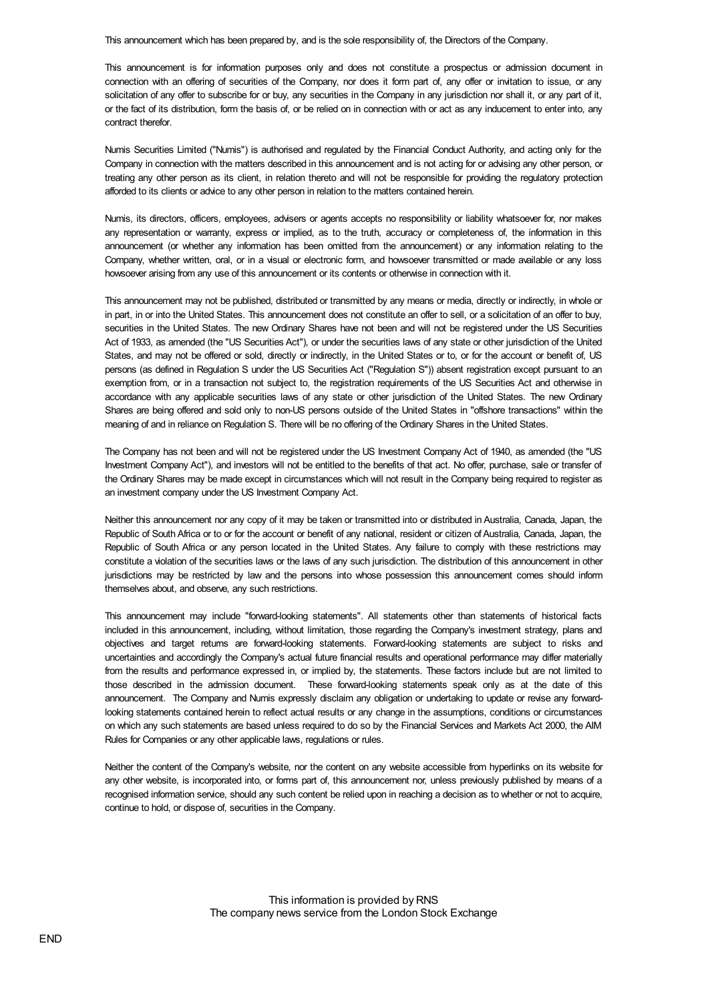This announcement which has been prepared by, and is the sole responsibility of, the Directors of the Company.

This announcement is for information purposes only and does not constitute a prospectus or admission document in connection with an offering of securities of the Company, nor does it form part of, any offer or invitation to issue, or any solicitation of any offer to subscribe for or buy, any securities in the Company in any jurisdiction nor shall it, or any part of it, or the fact of its distribution, form the basis of, or be relied on in connection with or act as any inducement to enter into, any contract therefor.

Numis Securities Limited ("Numis") is authorised and regulated by the Financial Conduct Authority, and acting only for the Company in connection with the matters described in this announcement and is not acting for or advising any other person, or treating any other person as its client, in relation thereto and will not be responsible for providing the regulatory protection afforded to its clients or advice to any other person in relation to the matters contained herein.

Numis, its directors, officers, employees, advisers or agents accepts no responsibility or liability whatsoever for, nor makes any representation or warranty, express or implied, as to the truth, accuracy or completeness of, the information in this announcement (or whether any information has been omitted from the announcement) or any information relating to the Company, whether written, oral, or in a visual or electronic form, and howsoever transmitted or made available or any loss howsoever arising from any use of this announcement or its contents or otherwise in connection with it.

This announcement may not be published, distributed or transmitted by any means or media, directly or indirectly, in whole or in part, in or into the United States. This announcement does not constitute an offer to sell, or a solicitation of an offer to buy, securities in the United States. The new Ordinary Shares have not been and will not be registered under the US Securities Act of 1933, as amended (the "US Securities Act"), or under the securities laws of any state or other jurisdiction of the United States, and may not be offered or sold, directly or indirectly, in the United States or to, or for the account or benefit of, US persons (as defined in Regulation S under the US Securities Act ("Regulation S")) absent registration except pursuant to an exemption from, or in a transaction not subject to, the registration requirements of the US Securities Act and otherwise in accordance with any applicable securities laws of any state or other jurisdiction of the United States. The new Ordinary Shares are being offered and sold only to non-US persons outside of the United States in "offshore transactions" within the meaning of and in reliance on Regulation S. There will be no offering of the Ordinary Shares in the United States.

The Company has not been and will not be registered under the US Investment Company Act of 1940, as amended (the "US Investment Company Act"), and investors will not be entitled to the benefits of that act. No offer, purchase, sale or transfer of the Ordinary Shares may be made except in circumstances which will not result in the Company being required to register as an investment company under the US Investment Company Act.

Neither this announcement nor any copy of it may be taken or transmitted into or distributed in Australia, Canada, Japan, the Republic of South Africa or to or for the account or benefit of any national, resident or citizen of Australia, Canada, Japan, the Republic of South Africa or any person located in the United States. Any failure to comply with these restrictions may constitute a violation of the securities laws or the laws of any such jurisdiction. The distribution of this announcement in other jurisdictions may be restricted by law and the persons into whose possession this announcement comes should inform themselves about, and observe, any such restrictions.

This announcement may include "forward-looking statements". All statements other than statements of historical facts included in this announcement, including, without limitation, those regarding the Company's investment strategy, plans and objectives and target returns are forward-looking statements. Forward-looking statements are subject to risks and uncertainties and accordingly the Company's actual future financial results and operational performance may differ materially from the results and performance expressed in, or implied by, the statements. These factors include but are not limited to those described in the admission document. These forward-looking statements speak only as at the date of this announcement. The Company and Numis expressly disclaim any obligation or undertaking to update or revise any forwardlooking statements contained herein to reflect actual results or any change in the assumptions, conditions or circumstances on which any such statements are based unless required to do so by the Financial Services and Markets Act 2000, the AIM Rules for Companies or any other applicable laws, regulations or rules.

Neither the content of the Company's website, nor the content on any website accessible from hyperlinks on its website for any other website, is incorporated into, or forms part of, this announcement nor, unless previously published by means of a recognised information service, should any such content be relied upon in reaching a decision as to whether or not to acquire, continue to hold, or dispose of, securities in the Company.